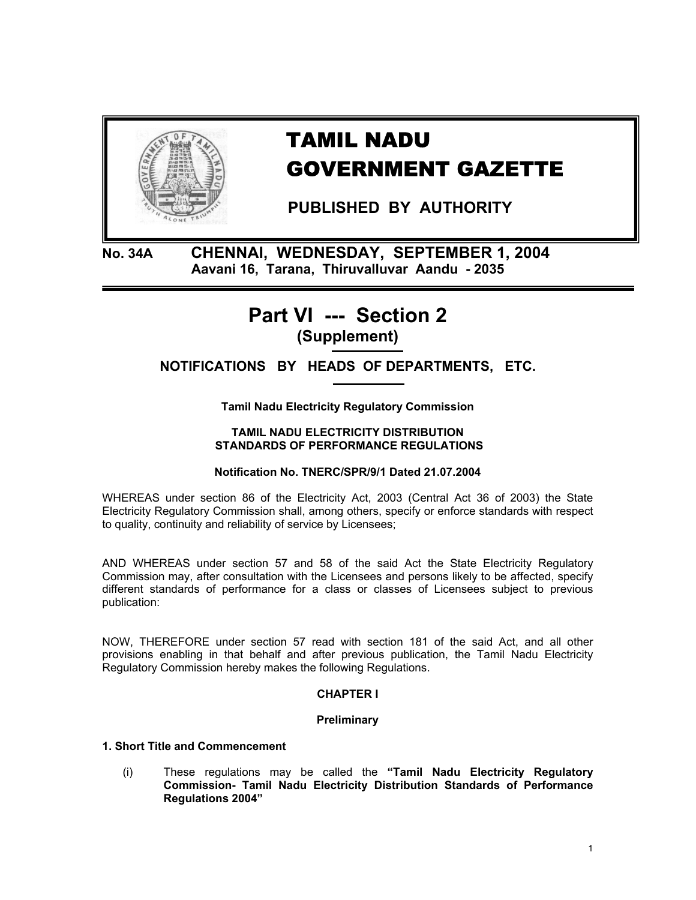

# TAMIL NADU GOVERNMENT GAZETTE

 **PUBLISHED BY AUTHORITY** 

**No. 34A CHENNAI, WEDNESDAY, SEPTEMBER 1, 2004 Aavani 16, Tarana, Thiruvalluvar Aandu - 2035** 

## **Part VI --- Section 2 (Supplement)**

**NOTIFICATIONS BY HEADS OF DEPARTMENTS, ETC.** 

**Tamil Nadu Electricity Regulatory Commission** 

#### **TAMIL NADU ELECTRICITY DISTRIBUTION STANDARDS OF PERFORMANCE REGULATIONS**

## **Notification No. TNERC/SPR/9/1 Dated 21.07.2004**

WHEREAS under section 86 of the Electricity Act, 2003 (Central Act 36 of 2003) the State Electricity Regulatory Commission shall, among others, specify or enforce standards with respect to quality, continuity and reliability of service by Licensees;

AND WHEREAS under section 57 and 58 of the said Act the State Electricity Regulatory Commission may, after consultation with the Licensees and persons likely to be affected, specify different standards of performance for a class or classes of Licensees subject to previous publication:

NOW, THEREFORE under section 57 read with section 181 of the said Act, and all other provisions enabling in that behalf and after previous publication, the Tamil Nadu Electricity Regulatory Commission hereby makes the following Regulations.

## **CHAPTER I**

## **Preliminary**

## **1. Short Title and Commencement**

(i) These regulations may be called the **"Tamil Nadu Electricity Regulatory Commission- Tamil Nadu Electricity Distribution Standards of Performance Regulations 2004"**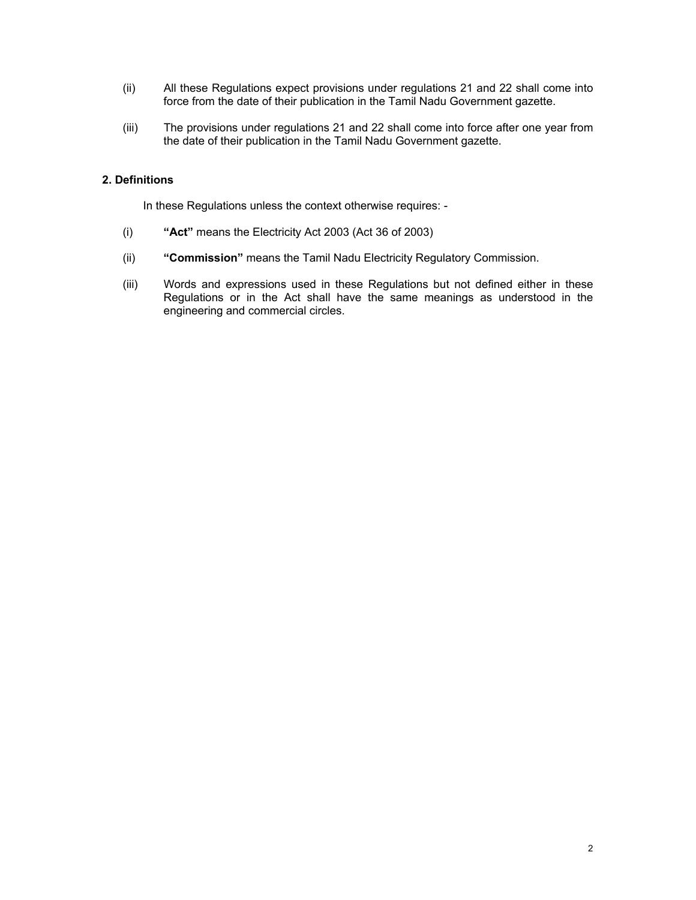- (ii) All these Regulations expect provisions under regulations 21 and 22 shall come into force from the date of their publication in the Tamil Nadu Government gazette.
- (iii) The provisions under regulations 21 and 22 shall come into force after one year from the date of their publication in the Tamil Nadu Government gazette.

## **2. Definitions**

In these Regulations unless the context otherwise requires: -

- (i) **"Act"** means the Electricity Act 2003 (Act 36 of 2003)
- (ii) **"Commission"** means the Tamil Nadu Electricity Regulatory Commission.
- (iii) Words and expressions used in these Regulations but not defined either in these Regulations or in the Act shall have the same meanings as understood in the engineering and commercial circles.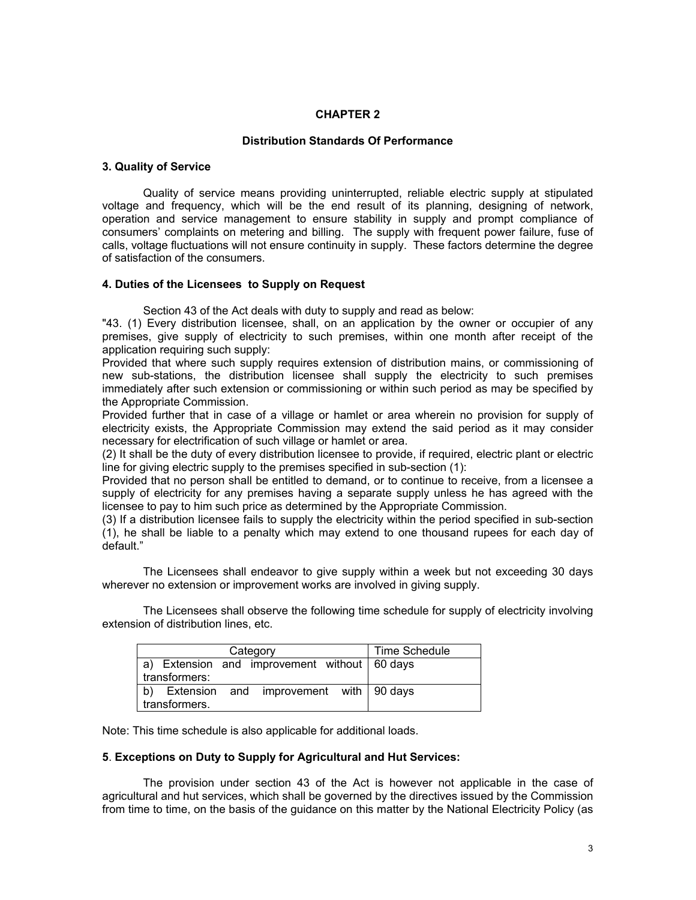#### **CHAPTER 2**

#### **Distribution Standards Of Performance**

#### **3. Quality of Service**

Quality of service means providing uninterrupted, reliable electric supply at stipulated voltage and frequency, which will be the end result of its planning, designing of network, operation and service management to ensure stability in supply and prompt compliance of consumers' complaints on metering and billing. The supply with frequent power failure, fuse of calls, voltage fluctuations will not ensure continuity in supply. These factors determine the degree of satisfaction of the consumers.

#### **4. Duties of the Licensees to Supply on Request**

Section 43 of the Act deals with duty to supply and read as below:

"43. (1) Every distribution licensee, shall, on an application by the owner or occupier of any premises, give supply of electricity to such premises, within one month after receipt of the application requiring such supply:

Provided that where such supply requires extension of distribution mains, or commissioning of new sub-stations, the distribution licensee shall supply the electricity to such premises immediately after such extension or commissioning or within such period as may be specified by the Appropriate Commission.

Provided further that in case of a village or hamlet or area wherein no provision for supply of electricity exists, the Appropriate Commission may extend the said period as it may consider necessary for electrification of such village or hamlet or area.

(2) It shall be the duty of every distribution licensee to provide, if required, electric plant or electric line for giving electric supply to the premises specified in sub-section (1):

Provided that no person shall be entitled to demand, or to continue to receive, from a licensee a supply of electricity for any premises having a separate supply unless he has agreed with the licensee to pay to him such price as determined by the Appropriate Commission.

(3) If a distribution licensee fails to supply the electricity within the period specified in sub-section (1), he shall be liable to a penalty which may extend to one thousand rupees for each day of default."

The Licensees shall endeavor to give supply within a week but not exceeding 30 days wherever no extension or improvement works are involved in giving supply.

The Licensees shall observe the following time schedule for supply of electricity involving extension of distribution lines, etc.

| Category                                                        | Time Schedule |
|-----------------------------------------------------------------|---------------|
| a) Extension and improvement without   60 days<br>transformers: |               |
| b) Extension and improvement with $\frac{1}{2}$ 90 days         |               |
| transformers.                                                   |               |

Note: This time schedule is also applicable for additional loads.

#### **5**. **Exceptions on Duty to Supply for Agricultural and Hut Services:**

The provision under section 43 of the Act is however not applicable in the case of agricultural and hut services, which shall be governed by the directives issued by the Commission from time to time, on the basis of the guidance on this matter by the National Electricity Policy (as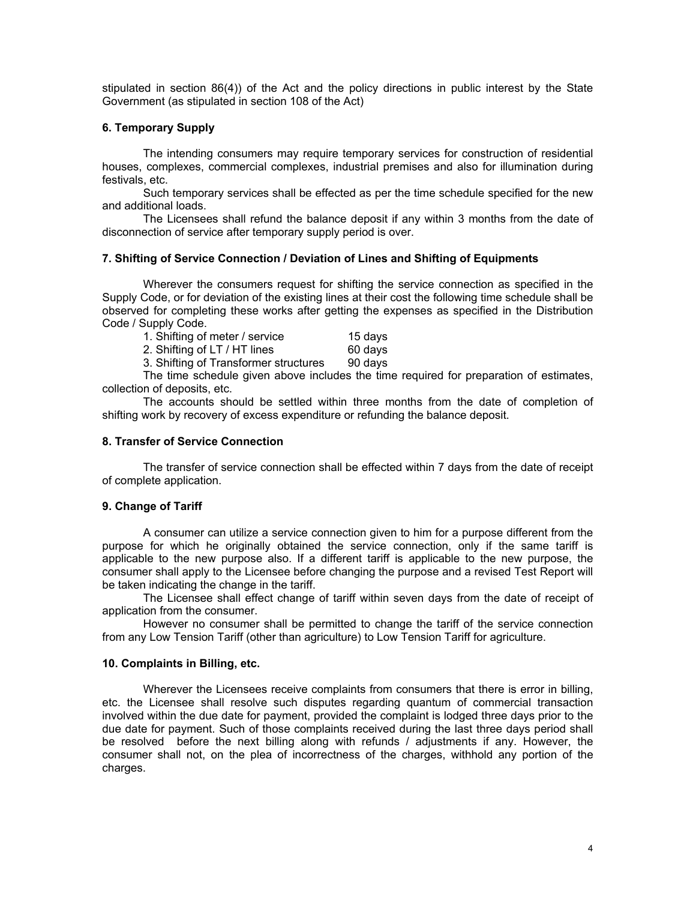stipulated in section 86(4)) of the Act and the policy directions in public interest by the State Government (as stipulated in section 108 of the Act)

#### **6. Temporary Supply**

The intending consumers may require temporary services for construction of residential houses, complexes, commercial complexes, industrial premises and also for illumination during festivals, etc.

Such temporary services shall be effected as per the time schedule specified for the new and additional loads.

The Licensees shall refund the balance deposit if any within 3 months from the date of disconnection of service after temporary supply period is over.

#### **7. Shifting of Service Connection / Deviation of Lines and Shifting of Equipments**

Wherever the consumers request for shifting the service connection as specified in the Supply Code, or for deviation of the existing lines at their cost the following time schedule shall be observed for completing these works after getting the expenses as specified in the Distribution Code / Supply Code.

| 1. Shifting of meter / service                  | 15 days |
|-------------------------------------------------|---------|
| 2. Shifting of LT / HT lines                    | 60 days |
| 3. Shifting of Transformer structures           | 90 days |
| The time sehedule given eboye includes the time |         |

 The time schedule given above includes the time required for preparation of estimates, collection of deposits, etc.

The accounts should be settled within three months from the date of completion of shifting work by recovery of excess expenditure or refunding the balance deposit.

#### **8. Transfer of Service Connection**

The transfer of service connection shall be effected within 7 days from the date of receipt of complete application.

#### **9. Change of Tariff**

A consumer can utilize a service connection given to him for a purpose different from the purpose for which he originally obtained the service connection, only if the same tariff is applicable to the new purpose also. If a different tariff is applicable to the new purpose, the consumer shall apply to the Licensee before changing the purpose and a revised Test Report will be taken indicating the change in the tariff.

The Licensee shall effect change of tariff within seven days from the date of receipt of application from the consumer.

However no consumer shall be permitted to change the tariff of the service connection from any Low Tension Tariff (other than agriculture) to Low Tension Tariff for agriculture.

#### **10. Complaints in Billing, etc.**

Wherever the Licensees receive complaints from consumers that there is error in billing, etc. the Licensee shall resolve such disputes regarding quantum of commercial transaction involved within the due date for payment, provided the complaint is lodged three days prior to the due date for payment. Such of those complaints received during the last three days period shall be resolved before the next billing along with refunds / adjustments if any. However, the consumer shall not, on the plea of incorrectness of the charges, withhold any portion of the charges.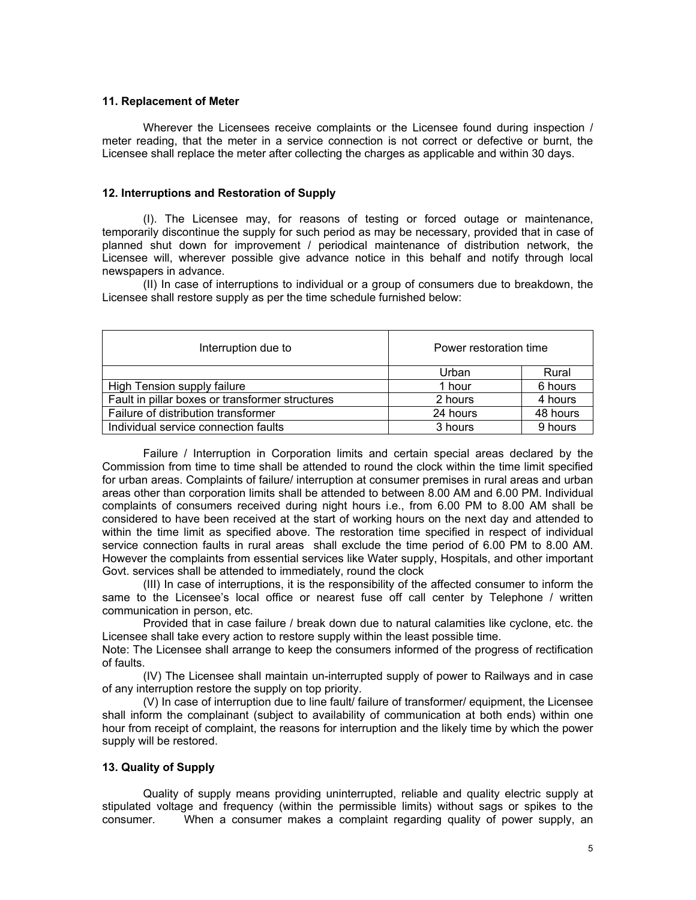#### **11. Replacement of Meter**

Wherever the Licensees receive complaints or the Licensee found during inspection / meter reading, that the meter in a service connection is not correct or defective or burnt, the Licensee shall replace the meter after collecting the charges as applicable and within 30 days.

#### **12. Interruptions and Restoration of Supply**

(I). The Licensee may, for reasons of testing or forced outage or maintenance, temporarily discontinue the supply for such period as may be necessary, provided that in case of planned shut down for improvement / periodical maintenance of distribution network, the Licensee will, wherever possible give advance notice in this behalf and notify through local newspapers in advance.

(II) In case of interruptions to individual or a group of consumers due to breakdown, the Licensee shall restore supply as per the time schedule furnished below:

| Interruption due to                             | Power restoration time |          |
|-------------------------------------------------|------------------------|----------|
|                                                 | Urban                  | Rural    |
| High Tension supply failure                     | 1 hour                 | 6 hours  |
| Fault in pillar boxes or transformer structures | 2 hours                | 4 hours  |
| Failure of distribution transformer             | 24 hours               | 48 hours |
| Individual service connection faults            | 3 hours                | 9 hours  |

 Failure / Interruption in Corporation limits and certain special areas declared by the Commission from time to time shall be attended to round the clock within the time limit specified for urban areas. Complaints of failure/ interruption at consumer premises in rural areas and urban areas other than corporation limits shall be attended to between 8.00 AM and 6.00 PM. Individual complaints of consumers received during night hours i.e., from 6.00 PM to 8.00 AM shall be considered to have been received at the start of working hours on the next day and attended to within the time limit as specified above. The restoration time specified in respect of individual service connection faults in rural areas shall exclude the time period of 6.00 PM to 8.00 AM. However the complaints from essential services like Water supply, Hospitals, and other important Govt. services shall be attended to immediately, round the clock

 (III) In case of interruptions, it is the responsibility of the affected consumer to inform the same to the Licensee's local office or nearest fuse off call center by Telephone / written communication in person, etc.

Provided that in case failure / break down due to natural calamities like cyclone, etc. the Licensee shall take every action to restore supply within the least possible time.

Note: The Licensee shall arrange to keep the consumers informed of the progress of rectification of faults.

(IV) The Licensee shall maintain un-interrupted supply of power to Railways and in case of any interruption restore the supply on top priority.

(V) In case of interruption due to line fault/ failure of transformer/ equipment, the Licensee shall inform the complainant (subject to availability of communication at both ends) within one hour from receipt of complaint, the reasons for interruption and the likely time by which the power supply will be restored.

#### **13. Quality of Supply**

Quality of supply means providing uninterrupted, reliable and quality electric supply at stipulated voltage and frequency (within the permissible limits) without sags or spikes to the consumer. When a consumer makes a complaint regarding quality of power supply, an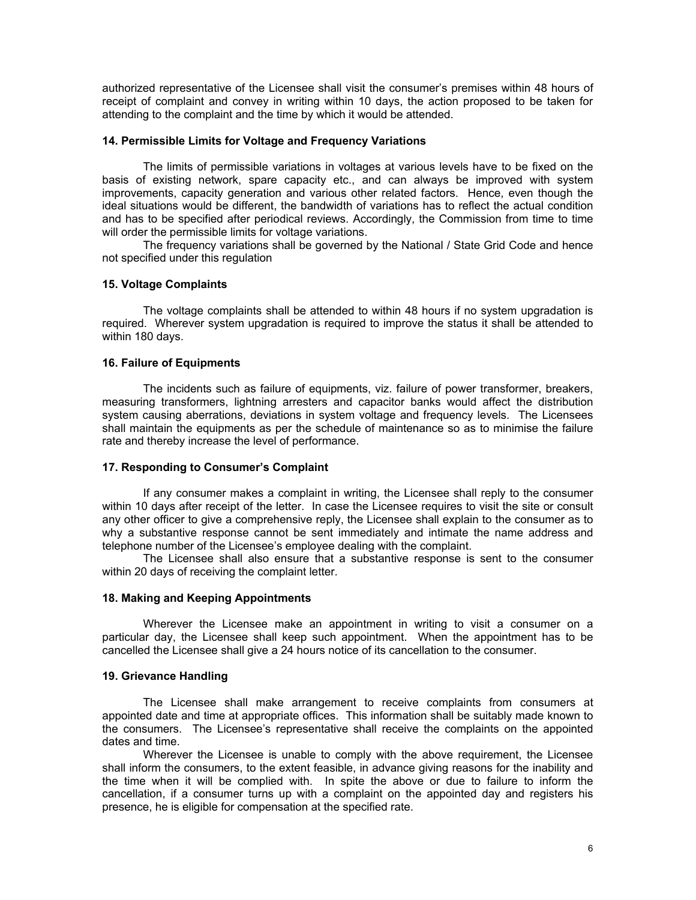authorized representative of the Licensee shall visit the consumer's premises within 48 hours of receipt of complaint and convey in writing within 10 days, the action proposed to be taken for attending to the complaint and the time by which it would be attended.

#### **14. Permissible Limits for Voltage and Frequency Variations**

The limits of permissible variations in voltages at various levels have to be fixed on the basis of existing network, spare capacity etc., and can always be improved with system improvements, capacity generation and various other related factors. Hence, even though the ideal situations would be different, the bandwidth of variations has to reflect the actual condition and has to be specified after periodical reviews. Accordingly, the Commission from time to time will order the permissible limits for voltage variations.

The frequency variations shall be governed by the National / State Grid Code and hence not specified under this regulation

#### **15. Voltage Complaints**

 The voltage complaints shall be attended to within 48 hours if no system upgradation is required. Wherever system upgradation is required to improve the status it shall be attended to within 180 days.

#### **16. Failure of Equipments**

The incidents such as failure of equipments, viz. failure of power transformer, breakers, measuring transformers, lightning arresters and capacitor banks would affect the distribution system causing aberrations, deviations in system voltage and frequency levels. The Licensees shall maintain the equipments as per the schedule of maintenance so as to minimise the failure rate and thereby increase the level of performance.

#### **17. Responding to Consumer's Complaint**

If any consumer makes a complaint in writing, the Licensee shall reply to the consumer within 10 days after receipt of the letter. In case the Licensee requires to visit the site or consult any other officer to give a comprehensive reply, the Licensee shall explain to the consumer as to why a substantive response cannot be sent immediately and intimate the name address and telephone number of the Licensee's employee dealing with the complaint.

 The Licensee shall also ensure that a substantive response is sent to the consumer within 20 days of receiving the complaint letter.

#### **18. Making and Keeping Appointments**

Wherever the Licensee make an appointment in writing to visit a consumer on a particular day, the Licensee shall keep such appointment. When the appointment has to be cancelled the Licensee shall give a 24 hours notice of its cancellation to the consumer.

#### **19. Grievance Handling**

 The Licensee shall make arrangement to receive complaints from consumers at appointed date and time at appropriate offices. This information shall be suitably made known to the consumers. The Licensee's representative shall receive the complaints on the appointed dates and time.

Wherever the Licensee is unable to comply with the above requirement, the Licensee shall inform the consumers, to the extent feasible, in advance giving reasons for the inability and the time when it will be complied with. In spite the above or due to failure to inform the cancellation, if a consumer turns up with a complaint on the appointed day and registers his presence, he is eligible for compensation at the specified rate.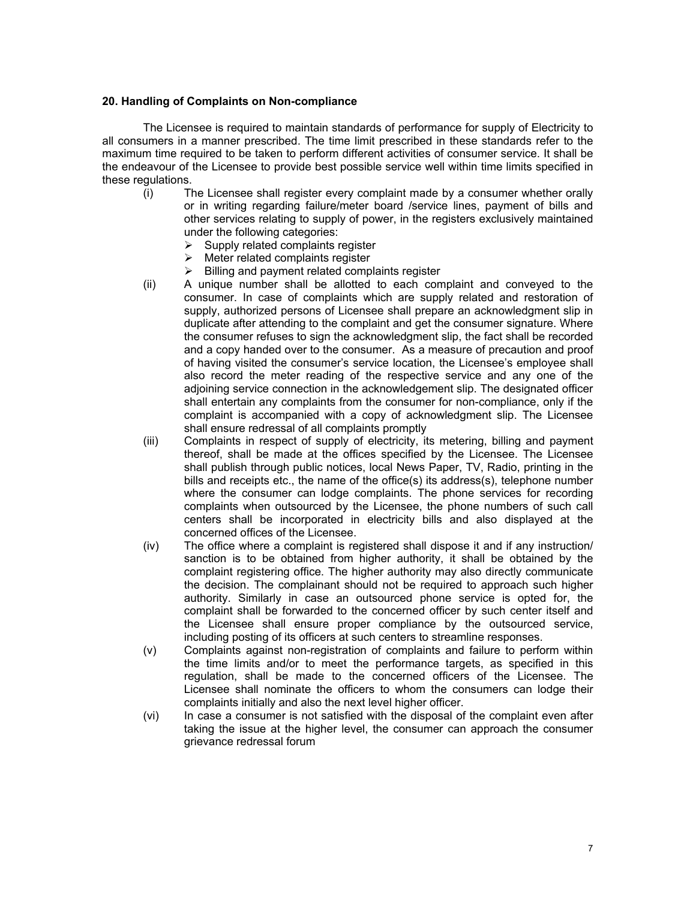#### **20. Handling of Complaints on Non-compliance**

 The Licensee is required to maintain standards of performance for supply of Electricity to all consumers in a manner prescribed. The time limit prescribed in these standards refer to the maximum time required to be taken to perform different activities of consumer service. It shall be the endeavour of the Licensee to provide best possible service well within time limits specified in these regulations.

- (i) The Licensee shall register every complaint made by a consumer whether orally or in writing regarding failure/meter board /service lines, payment of bills and other services relating to supply of power, in the registers exclusively maintained under the following categories:
	- $\triangleright$  Supply related complaints register
	- $\triangleright$  Meter related complaints register
	- $\triangleright$  Billing and payment related complaints register
- (ii) A unique number shall be allotted to each complaint and conveyed to the consumer. In case of complaints which are supply related and restoration of supply, authorized persons of Licensee shall prepare an acknowledgment slip in duplicate after attending to the complaint and get the consumer signature. Where the consumer refuses to sign the acknowledgment slip, the fact shall be recorded and a copy handed over to the consumer. As a measure of precaution and proof of having visited the consumer's service location, the Licensee's employee shall also record the meter reading of the respective service and any one of the adjoining service connection in the acknowledgement slip. The designated officer shall entertain any complaints from the consumer for non-compliance, only if the complaint is accompanied with a copy of acknowledgment slip. The Licensee shall ensure redressal of all complaints promptly
- (iii) Complaints in respect of supply of electricity, its metering, billing and payment thereof, shall be made at the offices specified by the Licensee. The Licensee shall publish through public notices, local News Paper, TV, Radio, printing in the bills and receipts etc., the name of the office(s) its address(s), telephone number where the consumer can lodge complaints. The phone services for recording complaints when outsourced by the Licensee, the phone numbers of such call centers shall be incorporated in electricity bills and also displayed at the concerned offices of the Licensee.
- (iv) The office where a complaint is registered shall dispose it and if any instruction/ sanction is to be obtained from higher authority, it shall be obtained by the complaint registering office. The higher authority may also directly communicate the decision. The complainant should not be required to approach such higher authority. Similarly in case an outsourced phone service is opted for, the complaint shall be forwarded to the concerned officer by such center itself and the Licensee shall ensure proper compliance by the outsourced service, including posting of its officers at such centers to streamline responses.
- (v) Complaints against non-registration of complaints and failure to perform within the time limits and/or to meet the performance targets, as specified in this regulation, shall be made to the concerned officers of the Licensee. The Licensee shall nominate the officers to whom the consumers can lodge their complaints initially and also the next level higher officer.
- (vi) In case a consumer is not satisfied with the disposal of the complaint even after taking the issue at the higher level, the consumer can approach the consumer grievance redressal forum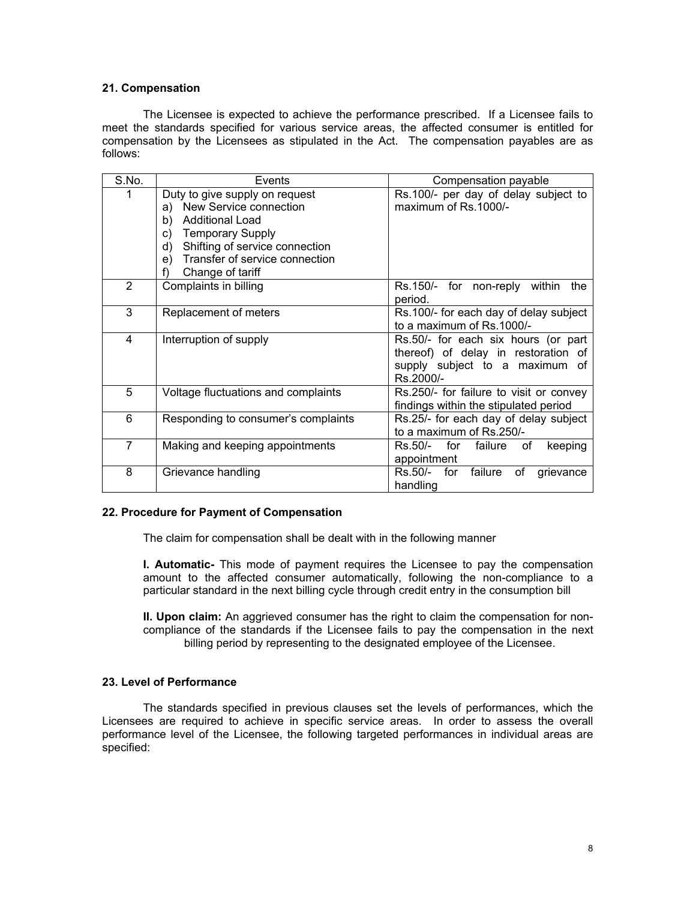#### **21. Compensation**

 The Licensee is expected to achieve the performance prescribed. If a Licensee fails to meet the standards specified for various service areas, the affected consumer is entitled for compensation by the Licensees as stipulated in the Act. The compensation payables are as follows:

| S.No.          | Events                               | Compensation payable                         |  |
|----------------|--------------------------------------|----------------------------------------------|--|
| 1              | Duty to give supply on request       | Rs.100/- per day of delay subject to         |  |
|                | a) New Service connection            | maximum of Rs.1000/-                         |  |
|                | b)<br><b>Additional Load</b>         |                                              |  |
|                | <b>Temporary Supply</b><br>C)        |                                              |  |
|                | Shifting of service connection<br>d) |                                              |  |
|                | Transfer of service connection<br>e) |                                              |  |
|                | Change of tariff                     |                                              |  |
| 2              | Complaints in billing                | Rs.150/- for non-reply within<br>the         |  |
|                |                                      | period.                                      |  |
| 3              | Replacement of meters                | Rs.100/- for each day of delay subject       |  |
|                |                                      | to a maximum of Rs.1000/-                    |  |
| 4              | Interruption of supply               | Rs.50/- for each six hours (or part          |  |
|                |                                      | thereof) of delay in restoration of          |  |
|                |                                      | supply subject to a maximum of               |  |
|                |                                      | Rs.2000/-                                    |  |
| 5              | Voltage fluctuations and complaints  | Rs.250/- for failure to visit or convey      |  |
|                |                                      | findings within the stipulated period        |  |
| 6              | Responding to consumer's complaints  | Rs.25/- for each day of delay subject        |  |
|                |                                      | to a maximum of Rs.250/-                     |  |
| $\overline{7}$ | Making and keeping appointments      | for<br>Rs.50/-<br>failure<br>of<br>keeping   |  |
|                |                                      | appointment                                  |  |
| 8              | Grievance handling                   | Rs.50/-<br>failure<br>of<br>for<br>grievance |  |
|                |                                      | handling                                     |  |

#### **22. Procedure for Payment of Compensation**

The claim for compensation shall be dealt with in the following manner

**I. Automatic-** This mode of payment requires the Licensee to pay the compensation amount to the affected consumer automatically, following the non-compliance to a particular standard in the next billing cycle through credit entry in the consumption bill

**II. Upon claim:** An aggrieved consumer has the right to claim the compensation for noncompliance of the standards if the Licensee fails to pay the compensation in the next billing period by representing to the designated employee of the Licensee.

#### **23. Level of Performance**

The standards specified in previous clauses set the levels of performances, which the Licensees are required to achieve in specific service areas. In order to assess the overall performance level of the Licensee, the following targeted performances in individual areas are specified: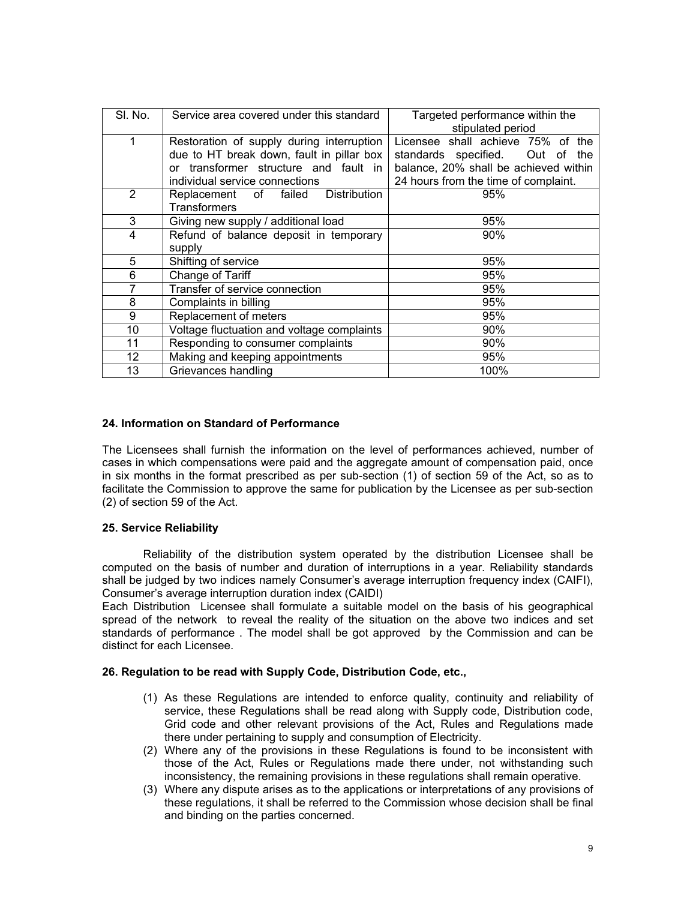| SI. No.        | Service area covered under this standard   | Targeted performance within the<br>stipulated period |  |
|----------------|--------------------------------------------|------------------------------------------------------|--|
| 1              | Restoration of supply during interruption  | Licensee shall achieve 75% of the                    |  |
|                | due to HT break down, fault in pillar box  | standards specified.<br>Out of<br>the                |  |
|                | transformer structure and fault in<br>Ωr   | balance, 20% shall be achieved within                |  |
|                | individual service connections             | 24 hours from the time of complaint.                 |  |
| $\overline{2}$ | Replacement of<br>Distribution<br>failed   | 95%                                                  |  |
|                | <b>Transformers</b>                        |                                                      |  |
| 3              | Giving new supply / additional load        | 95%                                                  |  |
| 4              | Refund of balance deposit in temporary     | $90\%$                                               |  |
|                | supply                                     |                                                      |  |
| 5              | Shifting of service                        | 95%                                                  |  |
| 6              | Change of Tariff                           | 95%                                                  |  |
| 7              | Transfer of service connection             | 95%                                                  |  |
| 8              | Complaints in billing                      | 95%                                                  |  |
| 9              | Replacement of meters                      | 95%                                                  |  |
| 10             | Voltage fluctuation and voltage complaints | 90%                                                  |  |
| 11             | Responding to consumer complaints<br>90%   |                                                      |  |
| 12             | Making and keeping appointments            | 95%                                                  |  |
| 13             | Grievances handling                        | 100%                                                 |  |

#### **24. Information on Standard of Performance**

The Licensees shall furnish the information on the level of performances achieved, number of cases in which compensations were paid and the aggregate amount of compensation paid, once in six months in the format prescribed as per sub-section (1) of section 59 of the Act, so as to facilitate the Commission to approve the same for publication by the Licensee as per sub-section (2) of section 59 of the Act.

## **25. Service Reliability**

Reliability of the distribution system operated by the distribution Licensee shall be computed on the basis of number and duration of interruptions in a year. Reliability standards shall be judged by two indices namely Consumer's average interruption frequency index (CAIFI), Consumer's average interruption duration index (CAIDI)

Each Distribution Licensee shall formulate a suitable model on the basis of his geographical spread of the network to reveal the reality of the situation on the above two indices and set standards of performance . The model shall be got approved by the Commission and can be distinct for each Licensee.

#### **26. Regulation to be read with Supply Code, Distribution Code, etc.,**

- (1) As these Regulations are intended to enforce quality, continuity and reliability of service, these Regulations shall be read along with Supply code, Distribution code, Grid code and other relevant provisions of the Act, Rules and Regulations made there under pertaining to supply and consumption of Electricity.
- (2) Where any of the provisions in these Regulations is found to be inconsistent with those of the Act, Rules or Regulations made there under, not withstanding such inconsistency, the remaining provisions in these regulations shall remain operative.
- (3) Where any dispute arises as to the applications or interpretations of any provisions of these regulations, it shall be referred to the Commission whose decision shall be final and binding on the parties concerned.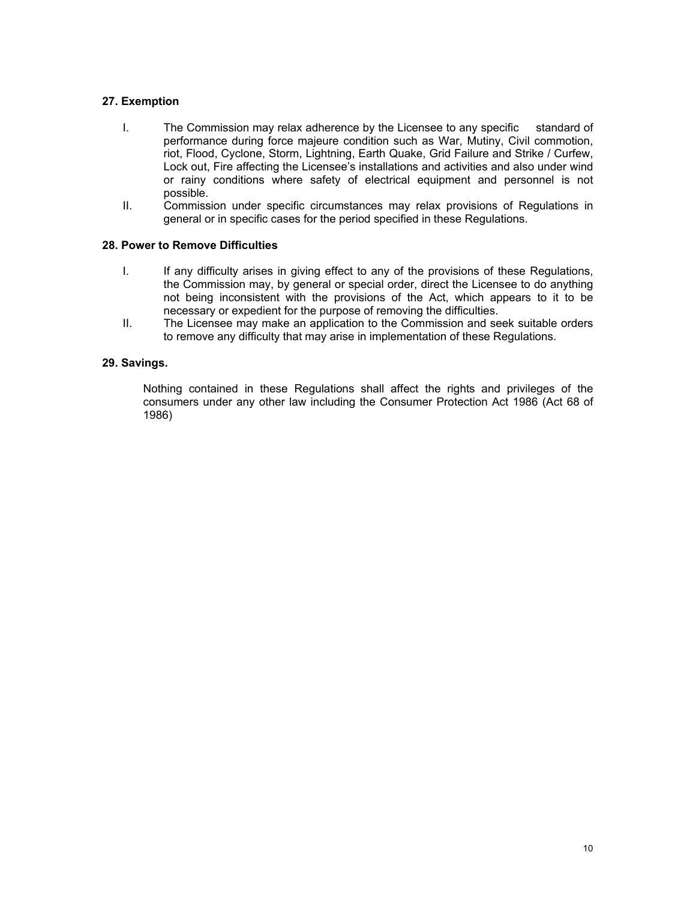## **27. Exemption**

- I. The Commission may relax adherence by the Licensee to any specific standard of performance during force majeure condition such as War, Mutiny, Civil commotion, riot, Flood, Cyclone, Storm, Lightning, Earth Quake, Grid Failure and Strike / Curfew, Lock out, Fire affecting the Licensee's installations and activities and also under wind or rainy conditions where safety of electrical equipment and personnel is not possible.
- II. Commission under specific circumstances may relax provisions of Regulations in general or in specific cases for the period specified in these Regulations.

#### **28. Power to Remove Difficulties**

- I. If any difficulty arises in giving effect to any of the provisions of these Regulations, the Commission may, by general or special order, direct the Licensee to do anything not being inconsistent with the provisions of the Act, which appears to it to be necessary or expedient for the purpose of removing the difficulties.
- II. The Licensee may make an application to the Commission and seek suitable orders to remove any difficulty that may arise in implementation of these Regulations.

#### **29. Savings.**

Nothing contained in these Regulations shall affect the rights and privileges of the consumers under any other law including the Consumer Protection Act 1986 (Act 68 of 1986)